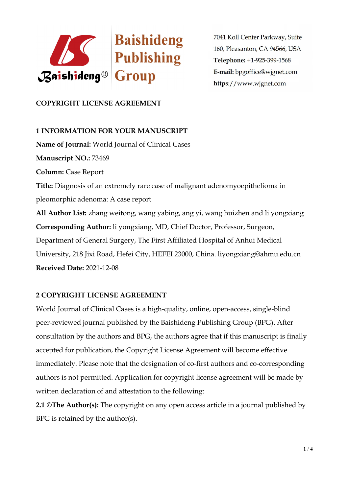

# **COPYRIGHT LICENSE AGREEMENT**

#### **1 INFORMATION FOR YOUR MANUSCRIPT**

**Name of Journal:** World Journal of Clinical Cases **Manuscript NO.:** 73469 **Column:** Case Report **Title:** Diagnosis of an extremely rare case of malignant adenomyoepithelioma in pleomorphic adenoma: A case report **All Author List:** zhang weitong, wang yabing, ang yi, wang huizhen and li yongxiang **Corresponding Author:** li yongxiang, MD, Chief Doctor, Professor, Surgeon, Department of General Surgery, The First Affiliated Hospital of Anhui Medical University, 218 Jixi Road, Hefei City, HEFEI 23000, China. liyongxiang@ahmu.edu.cn **Received Date:** 2021-12-08

### **2 COPYRIGHT LICENSE AGREEMENT**

World Journal of Clinical Cases is a high-quality, online, open-access, single-blind peer-reviewed journal published by the Baishideng Publishing Group (BPG). After consultation by the authors and BPG, the authors agree that if this manuscript is finally accepted for publication, the Copyright License Agreement will become effective immediately. Please note that the designation of co-first authors and co-corresponding authors is not permitted. Application for copyright license agreement will be made by written declaration of and attestation to the following:

**2.1 ©The Author(s):** The copyright on any open access article in a journal published by BPG is retained by the author(s).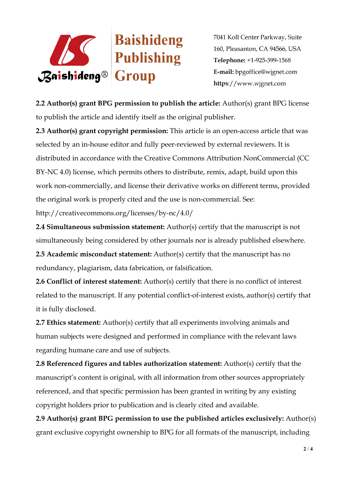

**2.2 Author(s) grant BPG permission to publish the article:** Author(s) grant BPG license to publish the article and identify itself as the original publisher.

**2.3 Author(s) grant copyright permission:** This article is an open-access article that was selected by an in-house editor and fully peer-reviewed by external reviewers. It is distributed in accordance with the Creative Commons Attribution NonCommercial (CC BY-NC 4.0) license, which permits others to distribute, remix, adapt, build upon this work non-commercially, and license their derivative works on different terms, provided the original work is properly cited and the use is non-commercial. See:

http://creativecommons.org/licenses/by-nc/4.0/

**2.4 Simultaneous submission statement:** Author(s) certify that the manuscript is not simultaneously being considered by other journals nor is already published elsewhere.

**2.5 Academic misconduct statement:** Author(s) certify that the manuscript has no redundancy, plagiarism, data fabrication, or falsification.

**2.6 Conflict of interest statement:** Author(s) certify that there is no conflict of interest related to the manuscript. If any potential conflict-of-interest exists, author(s) certify that it is fully disclosed.

**2.7 Ethics statement:** Author(s) certify that all experiments involving animals and human subjects were designed and performed in compliance with the relevant laws regarding humane care and use of subjects.

**2.8 Referenced figures and tables authorization statement:** Author(s) certify that the manuscript's content is original, with all information from other sources appropriately referenced, and that specific permission has been granted in writing by any existing copyright holders prior to publication and is clearly cited and available.

**2.9 Author(s) grant BPG permission to use the published articles exclusively:** Author(s) grant exclusive copyright ownership to BPG for all formats of the manuscript, including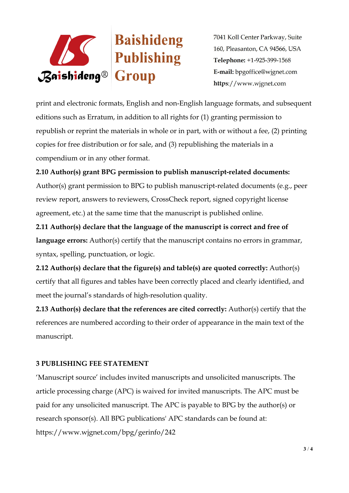

print and electronic formats, English and non-English language formats, and subsequent editions such as Erratum, in addition to all rights for (1) granting permission to republish or reprint the materials in whole or in part, with or without a fee,  $(2)$  printing copies for free distribution or for sale, and (3) republishing the materials in a compendium or in any other format.

## **2.10 Author(s) grant BPG permission to publish manuscript-related documents:**

Author(s) grant permission to BPG to publish manuscript-related documents (e.g., peer review report, answers to reviewers, CrossCheck report, signed copyright license agreement, etc.) at the same time that the manuscript is published online.

**2.11 Author(s) declare that the language of the manuscript is correct and freeof language errors:** Author(s) certify that the manuscript contains no errors in grammar, syntax, spelling, punctuation, or logic.

**2.12 Author(s) declare that the figure(s) and table(s) are quoted correctly:** Author(s) certify that all figures and tables have been correctly placed and clearly identified, and meet the journal's standards of high-resolution quality.

**2.13 Author(s) declare that the references are cited correctly:** Author(s) certify that the references are numbered according to their order of appearance in the main text of the manuscript.

## **3 PUBLISHING FEE STATEMENT**

'Manuscript source' includes invited manuscripts and unsolicited manuscripts. The article processing charge (APC) is waived for invited manuscripts. The APC must be paid for any unsolicited manuscript. The APC is payable to BPG by the author(s) or research sponsor(s). All BPG publications' APC standards can be found at: https://www.wjgnet.com/bpg/gerinfo/242